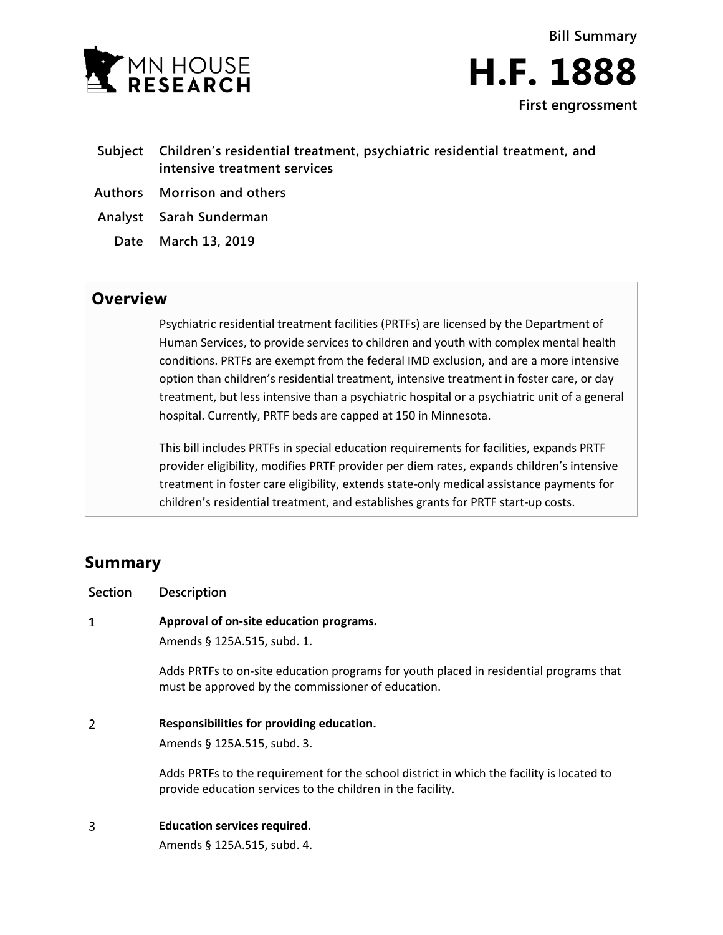



- **Subject Children's residential treatment, psychiatric residential treatment, and intensive treatment services**
- **Authors Morrison and others**
- **Analyst Sarah Sunderman**
	- **Date March 13, 2019**

## **Overview**

Psychiatric residential treatment facilities (PRTFs) are licensed by the Department of Human Services, to provide services to children and youth with complex mental health conditions. PRTFs are exempt from the federal IMD exclusion, and are a more intensive option than children's residential treatment, intensive treatment in foster care, or day treatment, but less intensive than a psychiatric hospital or a psychiatric unit of a general hospital. Currently, PRTF beds are capped at 150 in Minnesota.

This bill includes PRTFs in special education requirements for facilities, expands PRTF provider eligibility, modifies PRTF provider per diem rates, expands children's intensive treatment in foster care eligibility, extends state-only medical assistance payments for children's residential treatment, and establishes grants for PRTF start-up costs.

# **Summary**

| <b>Section</b> | <b>Description</b>                                                                                                                                       |
|----------------|----------------------------------------------------------------------------------------------------------------------------------------------------------|
| 1              | Approval of on-site education programs.                                                                                                                  |
|                | Amends § 125A.515, subd. 1.                                                                                                                              |
|                | Adds PRTFs to on-site education programs for youth placed in residential programs that<br>must be approved by the commissioner of education.             |
| 2              | Responsibilities for providing education.<br>Amends § 125A.515, subd. 3.                                                                                 |
|                | Adds PRTFs to the requirement for the school district in which the facility is located to<br>provide education services to the children in the facility. |
| 3              | <b>Education services required.</b>                                                                                                                      |
|                | Amends § 125A.515, subd. 4.                                                                                                                              |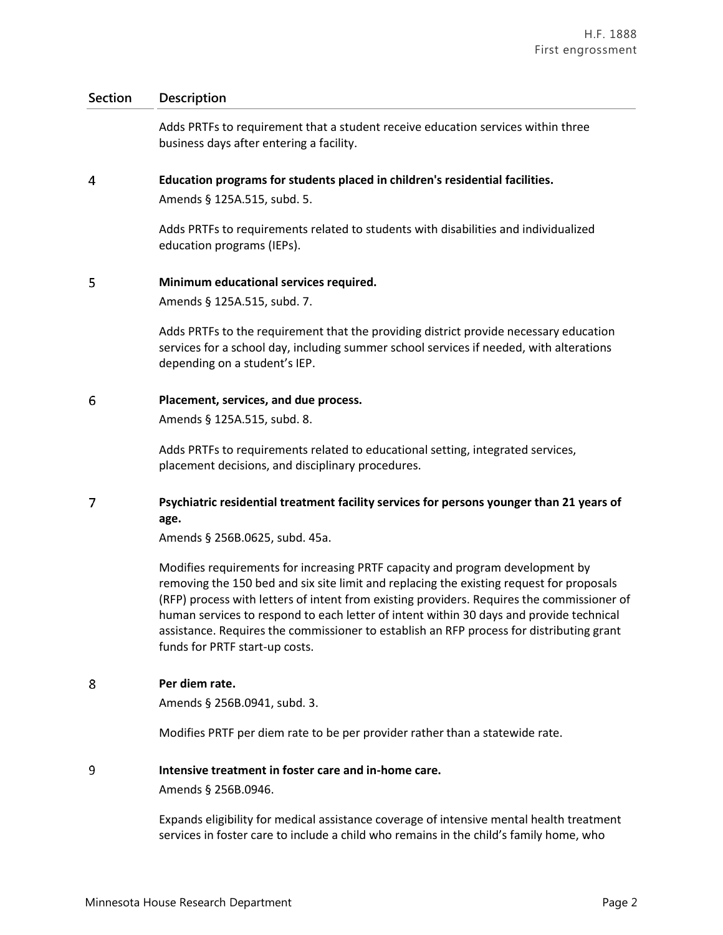## **Section Description**

Adds PRTFs to requirement that a student receive education services within three business days after entering a facility.

#### $\overline{4}$ **Education programs for students placed in children's residential facilities.**

Amends § 125A.515, subd. 5.

Adds PRTFs to requirements related to students with disabilities and individualized education programs (IEPs).

#### 5 **Minimum educational services required.**

Amends § 125A.515, subd. 7.

Adds PRTFs to the requirement that the providing district provide necessary education services for a school day, including summer school services if needed, with alterations depending on a student's IEP.

#### 6 **Placement, services, and due process.**

Amends § 125A.515, subd. 8.

Adds PRTFs to requirements related to educational setting, integrated services, placement decisions, and disciplinary procedures.

### $\overline{7}$ **Psychiatric residential treatment facility services for persons younger than 21 years of age.**

Amends § 256B.0625, subd. 45a.

Modifies requirements for increasing PRTF capacity and program development by removing the 150 bed and six site limit and replacing the existing request for proposals (RFP) process with letters of intent from existing providers. Requires the commissioner of human services to respond to each letter of intent within 30 days and provide technical assistance. Requires the commissioner to establish an RFP process for distributing grant funds for PRTF start-up costs.

8 **Per diem rate.**

Amends § 256B.0941, subd. 3.

Modifies PRTF per diem rate to be per provider rather than a statewide rate.

#### 9 **Intensive treatment in foster care and in-home care.**

Amends § 256B.0946.

Expands eligibility for medical assistance coverage of intensive mental health treatment services in foster care to include a child who remains in the child's family home, who